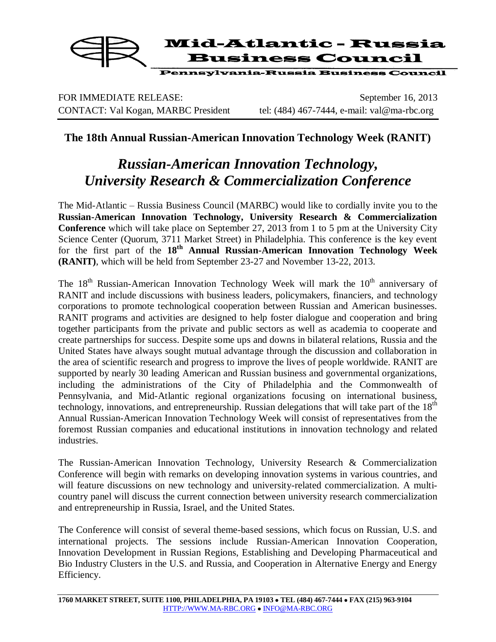

FOR IMMEDIATE RELEASE: September 16, 2013 CONTACT: Val Kogan, MARBC President tel: (484) 467-7444, e-mail: val@ma-rbc.org

## **The 18th Annual Russian-American Innovation Technology Week (RANIT)**

## *Russian-American Innovation Technology, University Research & Commercialization Conference*

The Mid-Atlantic – Russia Business Council (MARBC) would like to cordially invite you to the **Russian-American Innovation Technology, University Research & Commercialization Conference** which will take place on September 27, 2013 from 1 to 5 pm at the University City Science Center (Quorum, 3711 Market Street) in Philadelphia. This conference is the key event for the first part of the **18th Annual Russian-American Innovation Technology Week (RANIT)**, which will be held from September 23-27 and November 13-22, 2013.

The  $18<sup>th</sup>$  Russian-American Innovation Technology Week will mark the  $10<sup>th</sup>$  anniversary of RANIT and include discussions with business leaders, policymakers, financiers, and technology corporations to promote technological cooperation between Russian and American businesses. RANIT programs and activities are designed to help foster dialogue and cooperation and bring together participants from the private and public sectors as well as academia to cooperate and create partnerships for success. Despite some ups and downs in bilateral relations, Russia and the United States have always sought mutual advantage through the discussion and collaboration in the area of scientific research and progress to improve the lives of people worldwide. RANIT are supported by nearly 30 leading American and Russian business and governmental organizations, including the administrations of the City of Philadelphia and the Commonwealth of Pennsylvania, and Mid-Atlantic regional organizations focusing on international business, technology, innovations, and entrepreneurship. Russian delegations that will take part of the 18<sup>th</sup> Annual Russian-American Innovation Technology Week will consist of representatives from the foremost Russian companies and educational institutions in innovation technology and related industries.

The Russian-American Innovation Technology, University Research & Commercialization Conference will begin with remarks on developing innovation systems in various countries, and will feature discussions on new technology and university-related commercialization. A multicountry panel will discuss the current connection between university research commercialization and entrepreneurship in Russia, Israel, and the United States.

The Conference will consist of several theme-based sessions, which focus on Russian, U.S. and international projects. The sessions include Russian-American Innovation Cooperation, Innovation Development in Russian Regions, Establishing and Developing Pharmaceutical and Bio Industry Clusters in the U.S. and Russia, and Cooperation in Alternative Energy and Energy Efficiency.